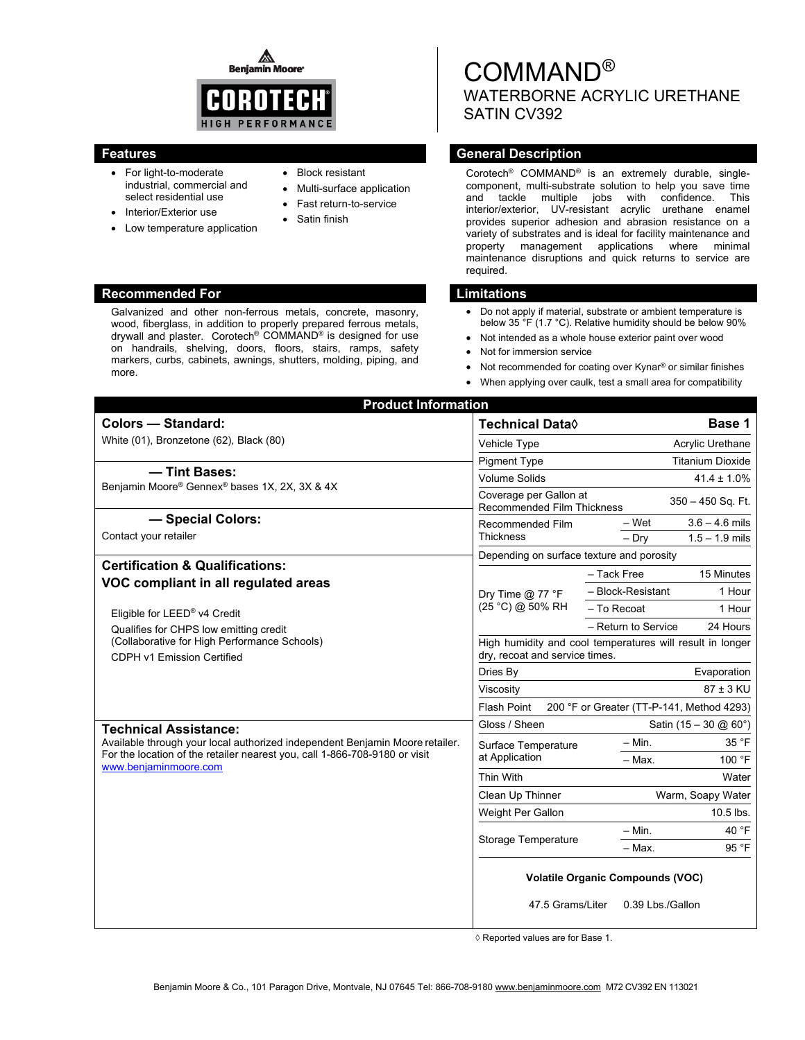◬ **Benjamin Moore** 



- For light-to-moderate industrial, commercial and select residential use
- Interior/Exterior use
- Low temperature application
- Block resistant
- Multi-surface application
- Fast return-to-service
- Satin finish

#### **Recommended For Limitations Commended For Limitations Accounting Limitations**

Galvanized and other non-ferrous metals, concrete, masonry, wood, fiberglass, in addition to properly prepared ferrous metals, drywall and plaster. Corotech® COMMAND® is designed for use on handrails, shelving, doors, floors, stairs, ramps, safety markers, curbs, cabinets, awnings, shutters, molding, piping, and more.

# COMMAND® WATERBORNE ACRYLIC URETHANE SATIN CV392

## **Features General Description Contract Description Acts and Acts and Acts and Acts and Acts and Acts and Acts and Acts and Acts and Acts and Acts and Acts and Acts and Acts and Acts and Acts and Acts and Acts and Acts and**

Corotech® COMMAND® is an extremely durable, singlecomponent, multi-substrate solution to help you save time and tackle multiple jobs with confidence. This interior/exterior, UV-resistant acrylic urethane enamel provides superior adhesion and abrasion resistance on a variety of substrates and is ideal for facility maintenance and property management applications where minimal maintenance disruptions and quick returns to service are required.

- Do not apply if material, substrate or ambient temperature is below 35 °F (1.7 °C). Relative humidity should be below 90%
- Not intended as a whole house exterior paint over wood
- Not for immersion service
- Not recommended for coating over Kynar® or similar finishes
- When applying over caulk, test a small area for compatibility

| <b>Colors - Standard:</b>                                                                                                                                                                    | Technical Data <sup>0</sup>                                                                 |                     | Base 1                                  |
|----------------------------------------------------------------------------------------------------------------------------------------------------------------------------------------------|---------------------------------------------------------------------------------------------|---------------------|-----------------------------------------|
| White (01), Bronzetone (62), Black (80)                                                                                                                                                      | Vehicle Type                                                                                |                     | Acrylic Urethane                        |
|                                                                                                                                                                                              | <b>Pigment Type</b>                                                                         |                     | <b>Titanium Dioxide</b>                 |
| - Tint Bases:<br>Beniamin Moore® Gennex® bases 1X, 2X, 3X & 4X                                                                                                                               | <b>Volume Solids</b>                                                                        |                     | $41.4 \pm 1.0\%$                        |
|                                                                                                                                                                                              | Coverage per Gallon at<br>350 - 450 Sq. Ft.<br><b>Recommended Film Thickness</b>            |                     |                                         |
| - Special Colors:                                                                                                                                                                            | Recommended Film                                                                            | $-$ Wet             | $3.6 - 4.6$ mils                        |
| Contact your retailer                                                                                                                                                                        | Thickness                                                                                   | $-$ Dry             | $1.5 - 1.9$ mils                        |
| <b>Certification &amp; Qualifications:</b>                                                                                                                                                   | Depending on surface texture and porosity                                                   |                     |                                         |
| VOC compliant in all regulated areas<br>Eligible for LEED® v4 Credit<br>Qualifies for CHPS low emitting credit<br>(Collaborative for High Performance Schools)<br>CDPH v1 Emission Certified | Dry Time $@$ 77 °F<br>(25 °C) @ 50% RH                                                      | - Tack Free         | 15 Minutes                              |
|                                                                                                                                                                                              |                                                                                             | - Block-Resistant   | 1 Hour                                  |
|                                                                                                                                                                                              |                                                                                             | - To Recoat         | 1 Hour                                  |
|                                                                                                                                                                                              |                                                                                             | - Return to Service | 24 Hours                                |
|                                                                                                                                                                                              | High humidity and cool temperatures will result in longer<br>dry, recoat and service times. |                     |                                         |
|                                                                                                                                                                                              | Dries By                                                                                    |                     | Evaporation                             |
|                                                                                                                                                                                              | Viscosity                                                                                   |                     | $87 \pm 3$ KU                           |
|                                                                                                                                                                                              | 200 °F or Greater (TT-P-141, Method 4293)<br><b>Flash Point</b>                             |                     |                                         |
| <b>Technical Assistance:</b>                                                                                                                                                                 | Gloss / Sheen                                                                               |                     | Satin $(15 - 30 \text{ @ } 60^{\circ})$ |
| Available through your local authorized independent Benjamin Moore retailer.<br>For the location of the retailer nearest you, call 1-866-708-9180 or visit<br>www.benjaminmoore.com          | Surface Temperature<br>at Application                                                       | $-$ Min.            | 35 °F                                   |
|                                                                                                                                                                                              |                                                                                             | $-$ Max.            | 100 °F                                  |
|                                                                                                                                                                                              | Thin With                                                                                   |                     | Water                                   |
|                                                                                                                                                                                              | Clean Up Thinner                                                                            | Warm, Soapy Water   |                                         |
|                                                                                                                                                                                              | Weight Per Gallon                                                                           |                     | 10.5 lbs.                               |
|                                                                                                                                                                                              |                                                                                             | $-$ Min.            | 40 °F                                   |
|                                                                                                                                                                                              | Storage Temperature                                                                         | $-$ Max.            | 95 °F                                   |
|                                                                                                                                                                                              | <b>Volatile Organic Compounds (VOC)</b><br>47.5 Grams/Liter<br>0.39 Lbs./Gallon             |                     |                                         |

◊ Reported values are for Base 1.